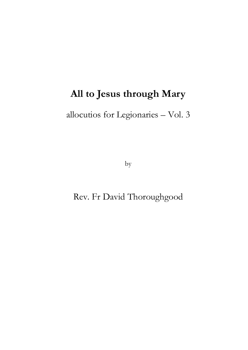# **All to Jesus through Mary**

# allocutios for Legionaries – Vol. 3

by

## Rev. Fr David Thoroughgood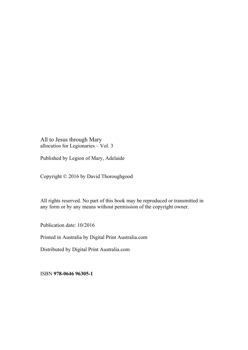All to Jesus through Mary allocutios for Legionaries – Vol. 3

Published by Legion of Mary, Adelaide

Copyright © 2016 by David Thoroughgood

All rights reserved. No part of this book may be reproduced or transmitted in any form or by any means without permission of the copyright owner.

Publication date: 10/2016

Printed in Australia by Digital Print Australia.com

Distributed by Digital Print Australia.com

ISBN **978-0646 96305-1**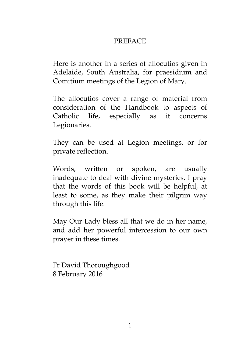### PREFACE

Here is another in a series of allocutios given in Adelaide, South Australia, for praesidium and Comitium meetings of the Legion of Mary.

The allocutios cover a range of material from consideration of the Handbook to aspects of Catholic life, especially as it concerns Legionaries.

They can be used at Legion meetings, or for private reflection.

Words, written or spoken, are usually inadequate to deal with divine mysteries. I pray that the words of this book will be helpful, at least to some, as they make their pilgrim way through this life.

May Our Lady bless all that we do in her name, and add her powerful intercession to our own prayer in these times.

Fr David Thoroughgood 8 February 2016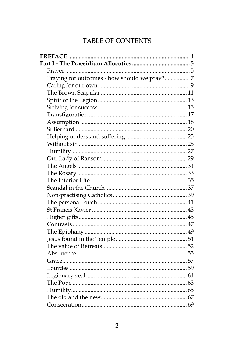### TABLE OF CONTENTS

| Praying for outcomes - how should we pray?7 |  |
|---------------------------------------------|--|
|                                             |  |
|                                             |  |
|                                             |  |
|                                             |  |
|                                             |  |
|                                             |  |
|                                             |  |
|                                             |  |
|                                             |  |
|                                             |  |
|                                             |  |
|                                             |  |
|                                             |  |
|                                             |  |
|                                             |  |
|                                             |  |
|                                             |  |
|                                             |  |
|                                             |  |
|                                             |  |
|                                             |  |
|                                             |  |
|                                             |  |
|                                             |  |
|                                             |  |
|                                             |  |
|                                             |  |
|                                             |  |
|                                             |  |
|                                             |  |
|                                             |  |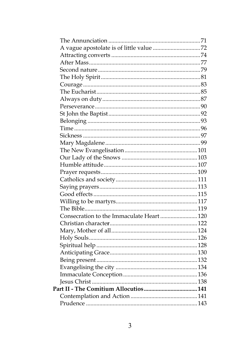| Consecration to the Immaculate Heart 120 |  |
|------------------------------------------|--|
|                                          |  |
|                                          |  |
|                                          |  |
|                                          |  |
|                                          |  |
|                                          |  |
|                                          |  |
|                                          |  |
|                                          |  |
|                                          |  |
|                                          |  |
|                                          |  |
|                                          |  |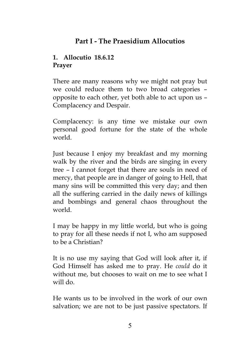## **Part I - The Praesidium Allocutios**

### **1. Allocutio 18.6.12 Prayer**

There are many reasons why we might not pray but we could reduce them to two broad categories – opposite to each other, yet both able to act upon us – Complacency and Despair.

Complacency: is any time we mistake our own personal good fortune for the state of the whole world.

Just because I enjoy my breakfast and my morning walk by the river and the birds are singing in every tree – I cannot forget that there are souls in need of mercy, that people are in danger of going to Hell, that many sins will be committed this very day; and then all the suffering carried in the daily news of killings and bombings and general chaos throughout the world.

I may be happy in my little world, but who is going to pray for all these needs if not I, who am supposed to be a Christian?

It is no use my saying that God will look after it, if God Himself has asked me to pray. He *could* do it without me, but chooses to wait on me to see what I will do.

He wants us to be involved in the work of our own salvation; we are not to be just passive spectators. If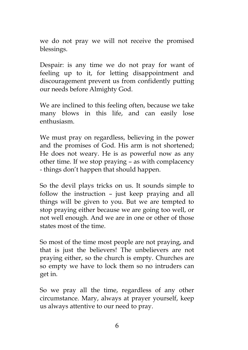we do not pray we will not receive the promised blessings.

Despair: is any time we do not pray for want of feeling up to it, for letting disappointment and discouragement prevent us from confidently putting our needs before Almighty God.

We are inclined to this feeling often, because we take many blows in this life, and can easily lose enthusiasm.

We must pray on regardless, believing in the power and the promises of God. His arm is not shortened; He does not weary. He is as powerful now as any other time. If we stop praying – as with complacency - things don't happen that should happen.

So the devil plays tricks on us. It sounds simple to follow the instruction – just keep praying and all things will be given to you. But we are tempted to stop praying either because we are going too well, or not well enough. And we are in one or other of those states most of the time.

So most of the time most people are not praying, and that is just the believers! The unbelievers are not praying either, so the church is empty. Churches are so empty we have to lock them so no intruders can get in.

So we pray all the time, regardless of any other circumstance. Mary, always at prayer yourself, keep us always attentive to our need to pray.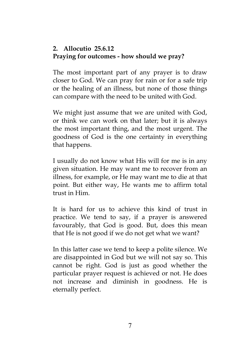### **2. Allocutio 25.6.12 Praying for outcomes - how should we pray?**

The most important part of any prayer is to draw closer to God. We can pray for rain or for a safe trip or the healing of an illness, but none of those things can compare with the need to be united with God.

We might just assume that we are united with God, or think we can work on that later; but it is always the most important thing, and the most urgent. The goodness of God is the one certainty in everything that happens.

I usually do not know what His will for me is in any given situation. He may want me to recover from an illness, for example, or He may want me to die at that point. But either way, He wants me to affirm total trust in Him.

It is hard for us to achieve this kind of trust in practice. We tend to say, if a prayer is answered favourably, that God is good. But, does this mean that He is not good if we do not get what we want?

In this latter case we tend to keep a polite silence. We are disappointed in God but we will not say so. This cannot be right. God is just as good whether the particular prayer request is achieved or not. He does not increase and diminish in goodness. He is eternally perfect.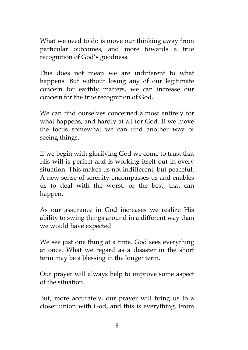What we need to do is move our thinking away from particular outcomes, and more towards a true recognition of God's goodness.

This does not mean we are indifferent to what happens. But without losing any of our legitimate concern for earthly matters, we can increase our concern for the true recognition of God.

We can find ourselves concerned almost entirely for what happens, and hardly at all for God. If we move the focus somewhat we can find another way of seeing things.

If we begin with glorifying God we come to trust that His will is perfect and is working itself out in every situation. This makes us not indifferent, but peaceful. A new sense of serenity encompasses us and enables us to deal with the worst, or the best, that can happen.

As our assurance in God increases we realize His ability to swing things around in a different way than we would have expected.

We see just one thing at a time. God sees everything at once. What we regard as a disaster in the short term may be a blessing in the longer term.

Our prayer will always help to improve some aspect of the situation.

But, more accurately, our prayer will bring us to a closer union with God, and this is everything. From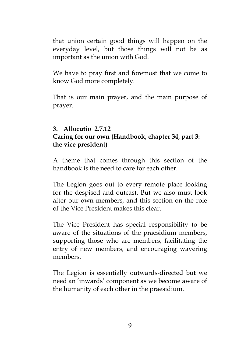that union certain good things will happen on the everyday level, but those things will not be as important as the union with God.

We have to pray first and foremost that we come to know God more completely.

That is our main prayer, and the main purpose of prayer.

#### **3. Allocutio 2.7.12 Caring for our own (Handbook, chapter 34, part 3: the vice president)**

A theme that comes through this section of the handbook is the need to care for each other.

The Legion goes out to every remote place looking for the despised and outcast. But we also must look after our own members, and this section on the role of the Vice President makes this clear.

The Vice President has special responsibility to be aware of the situations of the praesidium members, supporting those who are members, facilitating the entry of new members, and encouraging wavering members.

The Legion is essentially outwards-directed but we need an 'inwards' component as we become aware of the humanity of each other in the praesidium.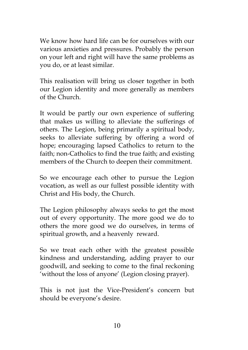We know how hard life can be for ourselves with our various anxieties and pressures. Probably the person on your left and right will have the same problems as you do, or at least similar.

This realisation will bring us closer together in both our Legion identity and more generally as members of the Church.

It would be partly our own experience of suffering that makes us willing to alleviate the sufferings of others. The Legion, being primarily a spiritual body, seeks to alleviate suffering by offering a word of hope; encouraging lapsed Catholics to return to the faith; non-Catholics to find the true faith; and existing members of the Church to deepen their commitment.

So we encourage each other to pursue the Legion vocation, as well as our fullest possible identity with Christ and His body, the Church.

The Legion philosophy always seeks to get the most out of every opportunity. The more good we do to others the more good we do ourselves, in terms of spiritual growth, and a heavenly reward.

So we treat each other with the greatest possible kindness and understanding, adding prayer to our goodwill, and seeking to come to the final reckoning 'without the loss of anyone' (Legion closing prayer).

This is not just the Vice-President's concern but should be everyone's desire.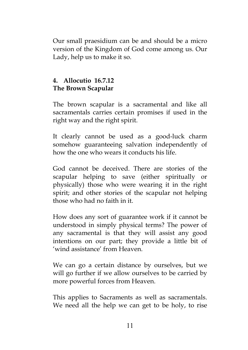Our small praesidium can be and should be a micro version of the Kingdom of God come among us. Our Lady, help us to make it so.

#### **4. Allocutio 16.7.12 The Brown Scapular**

The brown scapular is a sacramental and like all sacramentals carries certain promises if used in the right way and the right spirit.

It clearly cannot be used as a good-luck charm somehow guaranteeing salvation independently of how the one who wears it conducts his life.

God cannot be deceived. There are stories of the scapular helping to save (either spiritually or physically) those who were wearing it in the right spirit; and other stories of the scapular not helping those who had no faith in it.

How does any sort of guarantee work if it cannot be understood in simply physical terms? The power of any sacramental is that they will assist any good intentions on our part; they provide a little bit of 'wind assistance' from Heaven.

We can go a certain distance by ourselves, but we will go further if we allow ourselves to be carried by more powerful forces from Heaven.

This applies to Sacraments as well as sacramentals. We need all the help we can get to be holy, to rise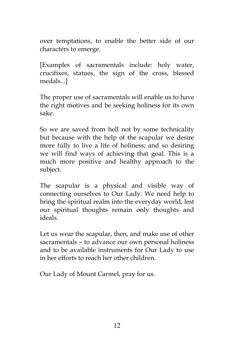over temptations, to enable the better side of our characters to emerge.

[Examples of sacramentals include: holy water, crucifixes, statues, the sign of the cross, blessed medals...]

The proper use of sacramentals will enable us to have the right motives and be seeking holiness for its own sake.

So we are saved from hell not by some technicality but because with the help of the scapular we desire more fully to live a life of holiness; and so desiring we will find ways of achieving that goal. This is a much more positive and healthy approach to the subject.

The scapular is a physical and visible way of connecting ourselves to Our Lady. We need help to bring the spiritual realm into the everyday world, lest our spiritual thoughts remain only thoughts and ideals.

Let us wear the scapular, then, and make use of other sacramentals – to advance our own personal holiness and to be available instruments for Our Lady to use in her efforts to reach her other children.

Our Lady of Mount Carmel, pray for us.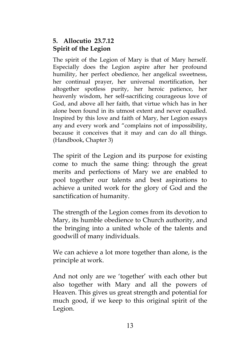#### **5. Allocutio 23.7.12 Spirit of the Legion**

The spirit of the Legion of Mary is that of Mary herself. Especially does the Legion aspire after her profound humility, her perfect obedience, her angelical sweetness, her continual prayer, her universal mortification, her altogether spotless purity, her heroic patience, her heavenly wisdom, her self-sacrificing courageous love of God, and above all her faith, that virtue which has in her alone been found in its utmost extent and never equalled. Inspired by this love and faith of Mary, her Legion essays any and every work and "complains not of impossibility, because it conceives that it may and can do all things. (Handbook, Chapter 3)

The spirit of the Legion and its purpose for existing come to much the same thing: through the great merits and perfections of Mary we are enabled to pool together our talents and best aspirations to achieve a united work for the glory of God and the sanctification of humanity.

The strength of the Legion comes from its devotion to Mary, its humble obedience to Church authority, and the bringing into a united whole of the talents and goodwill of many individuals.

We can achieve a lot more together than alone, is the principle at work.

And not only are we 'together' with each other but also together with Mary and all the powers of Heaven. This gives us great strength and potential for much good, if we keep to this original spirit of the Legion.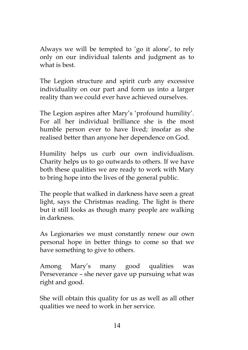Always we will be tempted to 'go it alone', to rely only on our individual talents and judgment as to what is best.

The Legion structure and spirit curb any excessive individuality on our part and form us into a larger reality than we could ever have achieved ourselves.

The Legion aspires after Mary's 'profound humility'. For all her individual brilliance she is the most humble person ever to have lived; insofar as she realised better than anyone her dependence on God.

Humility helps us curb our own individualism. Charity helps us to go outwards to others. If we have both these qualities we are ready to work with Mary to bring hope into the lives of the general public.

The people that walked in darkness have seen a great light, says the Christmas reading. The light is there but it still looks as though many people are walking in darkness.

As Legionaries we must constantly renew our own personal hope in better things to come so that we have something to give to others.

Among Mary's many good qualities was Perseverance – she never gave up pursuing what was right and good.

She will obtain this quality for us as well as all other qualities we need to work in her service.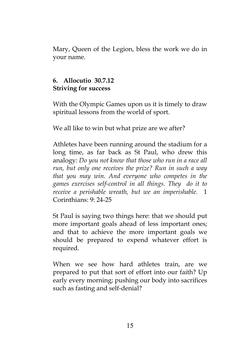Mary, Queen of the Legion, bless the work we do in your name.

#### **6. Allocutio 30.7.12 Striving for success**

With the Olympic Games upon us it is timely to draw spiritual lessons from the world of sport.

We all like to win but what prize are we after?

Athletes have been running around the stadium for a long time, as far back as St Paul, who drew this analogy: *Do you not know that those who run in a race all run, but only one receives the prize? Run in such a way that you may win. And everyone who competes in the games exercises self-control in all things. They do it to receive a perishable wreath, but we an imperishable.* 1 Corinthians: 9: 24-25

St Paul is saying two things here: that we should put more important goals ahead of less important ones; and that to achieve the more important goals we should be prepared to expend whatever effort is required.

When we see how hard athletes train, are we prepared to put that sort of effort into our faith? Up early every morning; pushing our body into sacrifices such as fasting and self-denial?